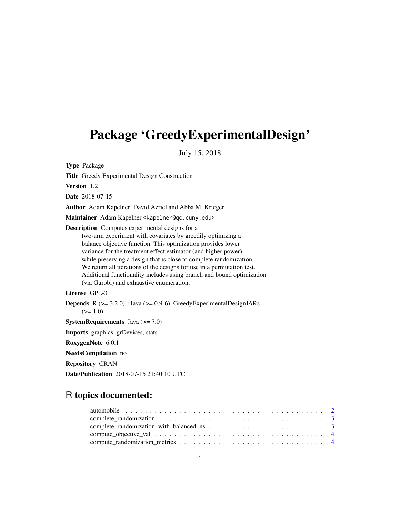# Package 'GreedyExperimentalDesign'

July 15, 2018

Type Package

Title Greedy Experimental Design Construction

Version 1.2

Date 2018-07-15

Author Adam Kapelner, David Azriel and Abba M. Krieger

Maintainer Adam Kapelner <kapelner@qc.cuny.edu>

Description Computes experimental designs for a two-arm experiment with covariates by greedily optimizing a balance objective function. This optimization provides lower variance for the treatment effect estimator (and higher power) while preserving a design that is close to complete randomization. We return all iterations of the designs for use in a permutation test. Additional functionality includes using branch and bound optimization (via Gurobi) and exhaustive enumeration.

License GPL-3

**Depends** R  $(>= 3.2.0)$ , rJava  $(>= 0.9-6)$ , GreedyExperimentalDesignJARs  $(>= 1.0)$ 

**SystemRequirements** Java  $(>= 7.0)$ 

Imports graphics, grDevices, stats

RoxygenNote 6.0.1

NeedsCompilation no

Repository CRAN

Date/Publication 2018-07-15 21:40:10 UTC

# R topics documented: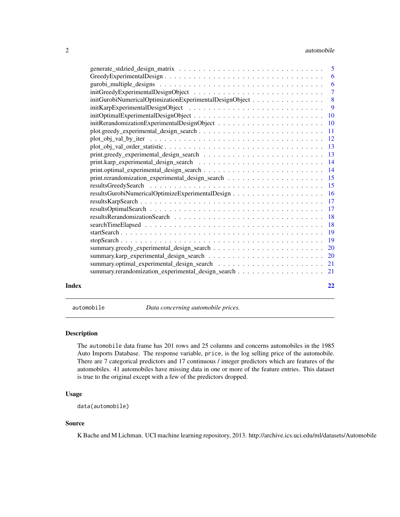#### <span id="page-1-0"></span>2 automobile and  $\alpha$  automobile and  $\alpha$  automobile and  $\alpha$  automobile and  $\alpha$

| initGurobiNumericalOptimizationExperimentalDesignObject 8<br>summary.rerandomization_experimental_design_search 21<br>Index |  |    |
|-----------------------------------------------------------------------------------------------------------------------------|--|----|
|                                                                                                                             |  |    |
|                                                                                                                             |  |    |
|                                                                                                                             |  |    |
|                                                                                                                             |  |    |
|                                                                                                                             |  |    |
|                                                                                                                             |  |    |
|                                                                                                                             |  |    |
|                                                                                                                             |  |    |
|                                                                                                                             |  |    |
|                                                                                                                             |  |    |
|                                                                                                                             |  |    |
|                                                                                                                             |  |    |
|                                                                                                                             |  |    |
|                                                                                                                             |  |    |
|                                                                                                                             |  |    |
|                                                                                                                             |  |    |
|                                                                                                                             |  |    |
|                                                                                                                             |  |    |
|                                                                                                                             |  |    |
|                                                                                                                             |  |    |
|                                                                                                                             |  |    |
|                                                                                                                             |  |    |
|                                                                                                                             |  |    |
|                                                                                                                             |  |    |
|                                                                                                                             |  |    |
|                                                                                                                             |  |    |
|                                                                                                                             |  | 22 |

automobile *Data concerning automobile prices.*

# Description

The automobile data frame has 201 rows and 25 columns and concerns automobiles in the 1985 Auto Imports Database. The response variable, price, is the log selling price of the automobile. There are 7 categorical predictors and 17 continuous / integer predictors which are features of the automobiles. 41 automobiles have missing data in one or more of the feature entries. This dataset is true to the original except with a few of the predictors dropped.

#### Usage

```
data(automobile)
```
#### Source

K Bache and M Lichman. UCI machine learning repository, 2013. http://archive.ics.uci.edu/ml/datasets/Automobile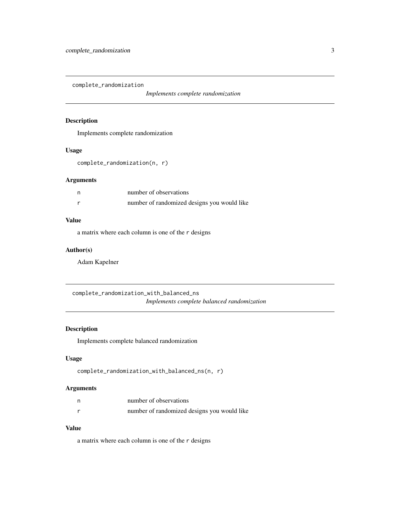<span id="page-2-0"></span>complete\_randomization

*Implements complete randomization*

# Description

Implements complete randomization

# Usage

complete\_randomization(n, r)

# Arguments

| n | number of observations                      |
|---|---------------------------------------------|
|   | number of randomized designs you would like |

# Value

a matrix where each column is one of the r designs

# Author(s)

Adam Kapelner

complete\_randomization\_with\_balanced\_ns *Implements complete balanced randomization*

# Description

Implements complete balanced randomization

# Usage

```
complete_randomization_with_balanced_ns(n, r)
```
# Arguments

| number of observations                      |
|---------------------------------------------|
| number of randomized designs you would like |

# Value

a matrix where each column is one of the r designs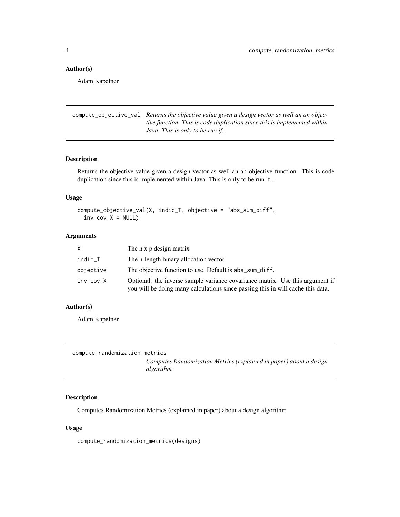#### <span id="page-3-0"></span>Author(s)

Adam Kapelner

compute\_objective\_val *Returns the objective value given a design vector as well an an objective function. This is code duplication since this is implemented within Java. This is only to be run if...*

#### Description

Returns the objective value given a design vector as well an an objective function. This is code duplication since this is implemented within Java. This is only to be run if...

#### Usage

```
compute_objective_val(X, indic_T, objective = "abs_sum_diff",
  inv_{c}ov_{X} = NULL
```
#### Arguments

|           | The n x p design matrix                                                                                                                                          |
|-----------|------------------------------------------------------------------------------------------------------------------------------------------------------------------|
| indic_T   | The n-length binary allocation vector                                                                                                                            |
| objective | The objective function to use. Default is abs_sum_diff.                                                                                                          |
| inv_cov_X | Optional: the inverse sample variance covariance matrix. Use this argument if<br>you will be doing many calculations since passing this in will cache this data. |

#### Author(s)

Adam Kapelner

```
compute_randomization_metrics
                         Computes Randomization Metrics (explained in paper) about a design
                         algorithm
```
#### Description

Computes Randomization Metrics (explained in paper) about a design algorithm

#### Usage

compute\_randomization\_metrics(designs)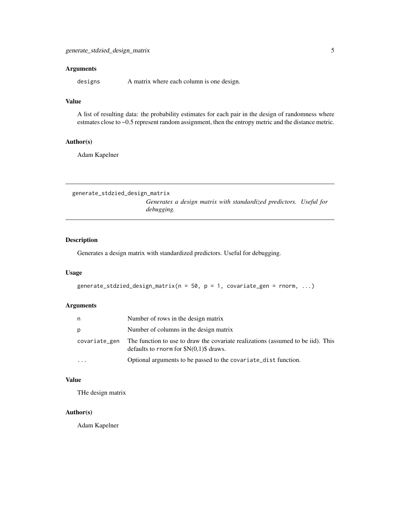<span id="page-4-0"></span>designs A matrix where each column is one design.

# Value

A list of resulting data: the probability estimates for each pair in the design of randomness where estmates close to ~0.5 represent random assignment, then the entropy metric and the distance metric.

#### Author(s)

Adam Kapelner

generate\_stdzied\_design\_matrix *Generates a design matrix with standardized predictors. Useful for debugging.*

# Description

Generates a design matrix with standardized predictors. Useful for debugging.

# Usage

```
generate_stdzied_design_matrix(n = 50, p = 1, covariate_gen = rnorm, ...)
```
# Arguments

| n             | Number of rows in the design matrix                                                                                       |
|---------------|---------------------------------------------------------------------------------------------------------------------------|
| p             | Number of columns in the design matrix                                                                                    |
| covariate_gen | The function to use to draw the covariate realizations (assumed to be iid). This<br>defaults to rnorm for $N(0,1)$ draws. |
| $\cdots$      | Optional arguments to be passed to the covariate_dist function.                                                           |

#### Value

THe design matrix

# Author(s)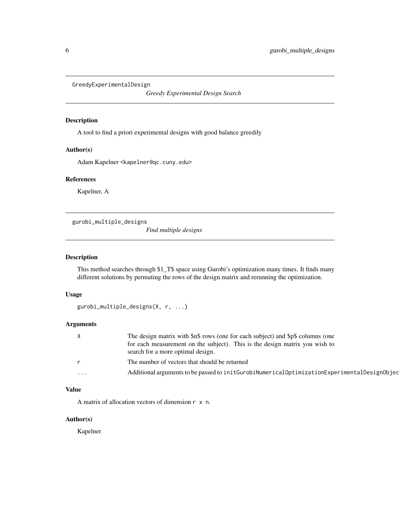<span id="page-5-0"></span>GreedyExperimentalDesign

*Greedy Experimental Design Search*

#### Description

A tool to find a priori experimental designs with good balance greedily

#### Author(s)

Adam Kapelner <kapelner@qc.cuny.edu>

#### References

Kapelner, A

gurobi\_multiple\_designs

*Find multiple designs*

# Description

This method searches through \$1\_T\$ space using Gurobi's optimization many times. It finds many different solutions by permuting the rows of the design matrix and rerunning the optimization.

#### Usage

```
gurobi_multiple_designs(X, r, ...)
```
# Arguments

| $\chi$       | The design matrix with \$n\$ rows (one for each subject) and \$p\$ columns (one                    |
|--------------|----------------------------------------------------------------------------------------------------|
|              | for each measurement on the subject). This is the design matrix you wish to                        |
|              | search for a more optimal design.                                                                  |
| $\mathsf{r}$ | The number of vectors that should be returned                                                      |
| $\cdots$     | Additional arguments to be passed to init Gurobi Numerical Optimization Experimental Design Object |

# Value

A matrix of allocation vectors of dimension r x n.

# Author(s)

Kapelner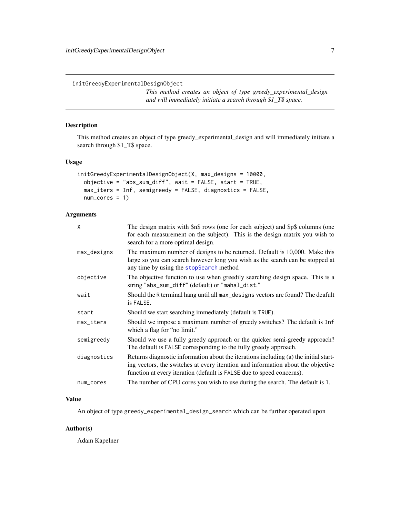<span id="page-6-0"></span>initGreedyExperimentalDesignObject

*This method creates an object of type greedy\_experimental\_design and will immediately initiate a search through \$1\_T\$ space.*

# Description

This method creates an object of type greedy\_experimental\_design and will immediately initiate a search through \$1\_T\$ space.

# Usage

```
initGreedyExperimentalDesignObject(X, max_designs = 10000,
 objective = "abs_sum_diff", wait = FALSE, start = TRUE,
 max_iters = Inf, semigreedy = FALSE, diagnostics = FALSE,
 num_cores = 1)
```
# Arguments

| $\mathsf{x}$ | The design matrix with \$n\$ rows (one for each subject) and \$p\$ columns (one<br>for each measurement on the subject). This is the design matrix you wish to<br>search for a more optimal design.                                               |
|--------------|---------------------------------------------------------------------------------------------------------------------------------------------------------------------------------------------------------------------------------------------------|
| max_designs  | The maximum number of designs to be returned. Default is 10,000. Make this<br>large so you can search however long you wish as the search can be stopped at<br>any time by using the stopSearch method                                            |
| objective    | The objective function to use when greedily searching design space. This is a<br>string "abs_sum_diff" (default) or "mahal_dist."                                                                                                                 |
| wait         | Should the R terminal hang until all max_designs vectors are found? The deafult<br>is FALSE.                                                                                                                                                      |
| start        | Should we start searching immediately (default is TRUE).                                                                                                                                                                                          |
| max_iters    | Should we impose a maximum number of greedy switches? The default is Inf<br>which a flag for "no limit."                                                                                                                                          |
| semigreedy   | Should we use a fully greedy approach or the quicker semi-greedy approach?<br>The default is FALSE corresponding to the fully greedy approach.                                                                                                    |
| diagnostics  | Returns diagnostic information about the iterations including (a) the initial start-<br>ing vectors, the switches at every iteration and information about the objective<br>function at every iteration (default is FALSE due to speed concerns). |
| num_cores    | The number of CPU cores you wish to use during the search. The default is 1.                                                                                                                                                                      |

#### Value

An object of type greedy\_experimental\_design\_search which can be further operated upon

#### Author(s)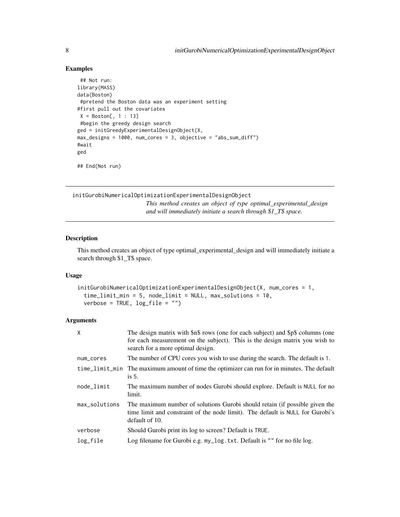#### Examples

```
## Not run:
library(MASS)
data(Boston)
#pretend the Boston data was an experiment setting
#first pull out the covariates
X = Boston[, 1 : 13]#begin the greedy design search
ged = initGreedyExperimentalDesignObject(X,
max_designs = 1000, num_cores = 3, objective = "abs_sum_diff")
#wait
ged
```
## End(Not run)

initGurobiNumericalOptimizationExperimentalDesignObject

*This method creates an object of type optimal\_experimental\_design and will immediately initiate a search through \$1\_T\$ space.*

#### Description

This method creates an object of type optimal\_experimental\_design and will immediately initiate a search through \$1\_T\$ space.

#### Usage

```
initGurobiNumericalOptimizationExperimentalDesignObject(X, num_cores = 1,
  time_limit_min = 5, node_limit = NULL, max_solutions = 10,
 verbose = TRUE, log_file = "")
```
#### Arguments

| The design matrix with \$n\$ rows (one for each subject) and \$p\$ columns (one<br>for each measurement on the subject). This is the design matrix you wish to<br>search for a more optimal design. |
|-----------------------------------------------------------------------------------------------------------------------------------------------------------------------------------------------------|
| The number of CPU cores you wish to use during the search. The default is 1.                                                                                                                        |
| time_limit_min The maximum amount of time the optimizer can run for in minutes. The default<br>$is5$ .                                                                                              |
| The maximum number of nodes Gurobi should explore. Default is NULL for no<br>limit.                                                                                                                 |
| The maximum number of solutions Gurobi should retain (if possible given the<br>time limit and constraint of the node limit). The default is NULL for Gurobi's<br>default of 10.                     |
| Should Gurobi print its log to screen? Default is TRUE.                                                                                                                                             |
| Log filename for Gurobi e.g. my_log.txt. Default is "" for no file log.                                                                                                                             |
|                                                                                                                                                                                                     |

<span id="page-7-0"></span>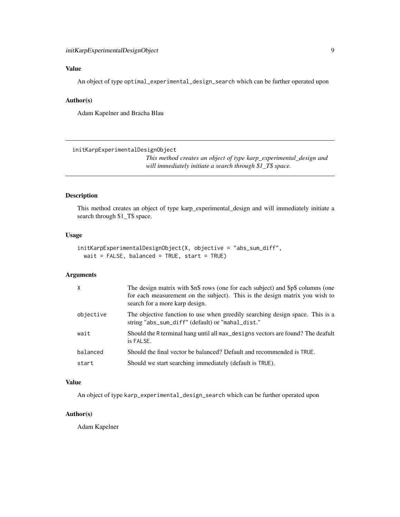# <span id="page-8-0"></span>Value

An object of type optimal\_experimental\_design\_search which can be further operated upon

# Author(s)

Adam Kapelner and Bracha Blau

initKarpExperimentalDesignObject

*This method creates an object of type karp\_experimental\_design and will immediately initiate a search through \$1\_T\$ space.*

#### Description

This method creates an object of type karp\_experimental\_design and will immediately initiate a search through \$1\_T\$ space.

#### Usage

```
initKarpExperimentalDesignObject(X, objective = "abs_sum_diff",
 wait = FALSE, balanced = TRUE, start = TRUE)
```
#### Arguments

| $\times$  | The design matrix with \$n\$ rows (one for each subject) and \$p\$ columns (one<br>for each measurement on the subject). This is the design matrix you wish to<br>search for a more karp design. |
|-----------|--------------------------------------------------------------------------------------------------------------------------------------------------------------------------------------------------|
| objective | The objective function to use when greedily searching design space. This is a<br>string "abs_sum_diff" (default) or "mahal_dist."                                                                |
| wait      | Should the R terminal hang until all max_designs vectors are found? The deafult<br>is FALSE.                                                                                                     |
| balanced  | Should the final vector be balanced? Default and recommended is TRUE.                                                                                                                            |
| start     | Should we start searching immediately (default is TRUE).                                                                                                                                         |

#### Value

An object of type karp\_experimental\_design\_search which can be further operated upon

#### Author(s)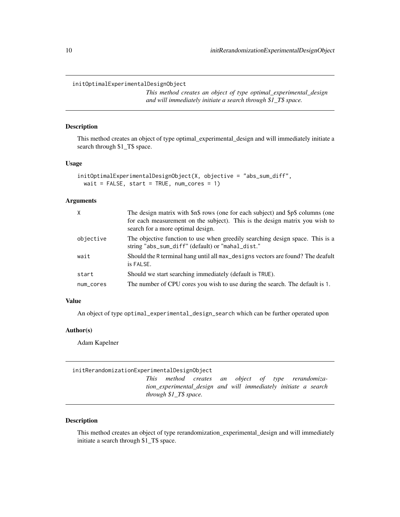<span id="page-9-0"></span>initOptimalExperimentalDesignObject

*This method creates an object of type optimal\_experimental\_design and will immediately initiate a search through \$1\_T\$ space.*

### Description

This method creates an object of type optimal\_experimental\_design and will immediately initiate a search through \$1\_T\$ space.

#### Usage

```
initOptimalExperimentalDesignObject(X, objective = "abs_sum_diff",
 wait = FALSE, start = TRUE, num\_cores = 1)
```
# Arguments

| $\mathsf{X}$ | The design matrix with \$n\$ rows (one for each subject) and \$p\$ columns (one<br>for each measurement on the subject). This is the design matrix you wish to<br>search for a more optimal design. |
|--------------|-----------------------------------------------------------------------------------------------------------------------------------------------------------------------------------------------------|
| objective    | The objective function to use when greedily searching design space. This is a<br>string "abs_sum_diff" (default) or "mahal_dist."                                                                   |
| wait         | Should the R terminal hang until all max_designs vectors are found? The deafult<br>is FALSE.                                                                                                        |
| start        | Should we start searching immediately (default is TRUE).                                                                                                                                            |
| num_cores    | The number of CPU cores you wish to use during the search. The default is 1.                                                                                                                        |

# Value

An object of type optimal\_experimental\_design\_search which can be further operated upon

#### Author(s)

Adam Kapelner

initRerandomizationExperimentalDesignObject *This method creates an object of type rerandomization\_experimental\_design and will immediately initiate a search through \$1\_T\$ space.*

# Description

This method creates an object of type rerandomization\_experimental\_design and will immediately initiate a search through \$1\_T\$ space.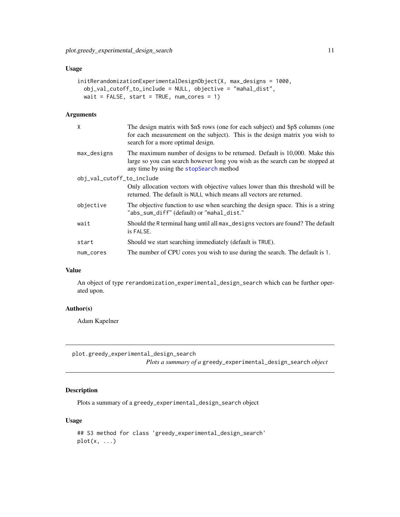#### <span id="page-10-0"></span>Usage

```
initRerandomizationExperimentalDesignObject(X, max_designs = 1000,
 obj_val_cutoff_to_include = NULL, objective = "mahal_dist",
 wait = FALSE, start = TRUE, num_cores = 1)
```
# Arguments

| X                         | The design matrix with \$n\$ rows (one for each subject) and \$p\$ columns (one<br>for each measurement on the subject). This is the design matrix you wish to<br>search for a more optimal design.    |
|---------------------------|--------------------------------------------------------------------------------------------------------------------------------------------------------------------------------------------------------|
| $max\_designs$            | The maximum number of designs to be returned. Default is 10,000. Make this<br>large so you can search however long you wish as the search can be stopped at<br>any time by using the stopSearch method |
| obj_val_cutoff_to_include |                                                                                                                                                                                                        |
|                           | Only allocation vectors with objective values lower than this threshold will be<br>returned. The default is NULL which means all vectors are returned.                                                 |
| objective                 | The objective function to use when searching the design space. This is a string<br>"abs_sum_diff" (default) or "mahal_dist."                                                                           |
| wait                      | Should the R terminal hang until all max_designs vectors are found? The default<br>is FALSE.                                                                                                           |
| start                     | Should we start searching immediately (default is TRUE).                                                                                                                                               |
| num_cores                 | The number of CPU cores you wish to use during the search. The default is 1.                                                                                                                           |
|                           |                                                                                                                                                                                                        |

#### Value

An object of type rerandomization\_experimental\_design\_search which can be further operated upon.

# Author(s)

Adam Kapelner

plot.greedy\_experimental\_design\_search

*Plots a summary of a* greedy\_experimental\_design\_search *object*

# Description

Plots a summary of a greedy\_experimental\_design\_search object

# Usage

```
## S3 method for class 'greedy_experimental_design_search'
plot(x, ...)
```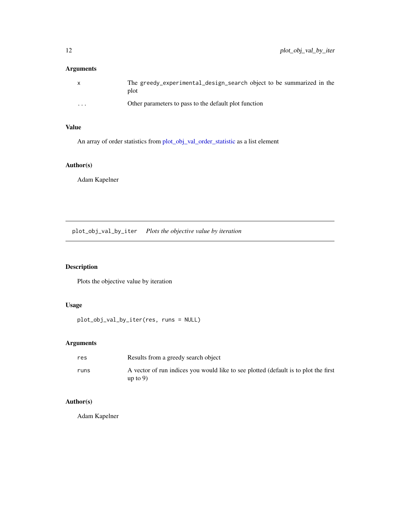<span id="page-11-0"></span>

| $\mathsf{x}$ | The greedy_experimental_design_search object to be summarized in the<br>plot |
|--------------|------------------------------------------------------------------------------|
| $\cdots$     | Other parameters to pass to the default plot function                        |

# Value

An array of order statistics from [plot\\_obj\\_val\\_order\\_statistic](#page-12-1) as a list element

# Author(s)

Adam Kapelner

plot\_obj\_val\_by\_iter *Plots the objective value by iteration*

# Description

Plots the objective value by iteration

# Usage

plot\_obj\_val\_by\_iter(res, runs = NULL)

# Arguments

| res  | Results from a greedy search object                                                                |
|------|----------------------------------------------------------------------------------------------------|
| runs | A vector of run indices you would like to see plotted (default is to plot the first<br>up to $9$ ) |

# Author(s)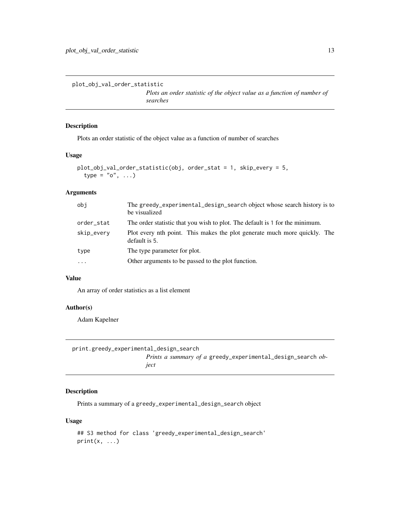<span id="page-12-1"></span><span id="page-12-0"></span>plot\_obj\_val\_order\_statistic

*Plots an order statistic of the object value as a function of number of searches*

# Description

Plots an order statistic of the object value as a function of number of searches

## Usage

```
plot_obj_val_order_statistic(obj, order_stat = 1, skip_every = 5,
  type = "o", \ldots)
```
# Arguments

| obi        | The greedy_experimental_design_search object whose search history is to<br>be visualized   |  |
|------------|--------------------------------------------------------------------------------------------|--|
| order_stat | The order statistic that you wish to plot. The default is 1 for the minimum.               |  |
| skip_every | Plot every nth point. This makes the plot generate much more quickly. The<br>default is 5. |  |
| type       | The type parameter for plot.                                                               |  |
| $\ddotsc$  | Other arguments to be passed to the plot function.                                         |  |

#### Value

An array of order statistics as a list element

# Author(s)

Adam Kapelner

| print.greedy_experimental_design_search |                                                                                    |
|-----------------------------------------|------------------------------------------------------------------------------------|
|                                         | <i>Prints a summary of a</i> greedy_experimental_design_search <i>ob</i> -<br>iect |

# Description

Prints a summary of a greedy\_experimental\_design\_search object

# Usage

```
## S3 method for class 'greedy_experimental_design_search'
print(x, \ldots)
```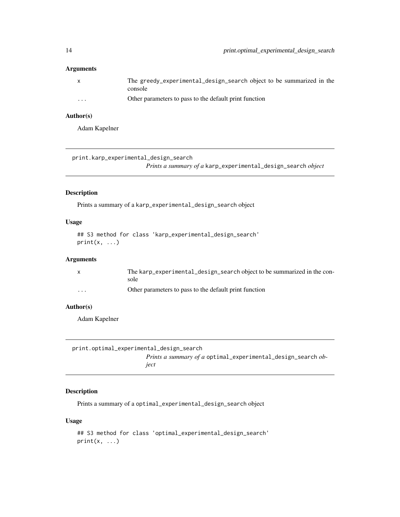<span id="page-13-0"></span>

| X                       | The greedy_experimental_design_search object to be summarized in the<br>console |
|-------------------------|---------------------------------------------------------------------------------|
| $\cdot$ $\cdot$ $\cdot$ | Other parameters to pass to the default print function                          |

#### Author(s)

Adam Kapelner

print.karp\_experimental\_design\_search

*Prints a summary of a* karp\_experimental\_design\_search *object*

#### Description

Prints a summary of a karp\_experimental\_design\_search object

#### Usage

## S3 method for class 'karp\_experimental\_design\_search'  $print(x, \ldots)$ 

#### Arguments

|          | The karp_experimental_design_search object to be summarized in the con-<br>sole |
|----------|---------------------------------------------------------------------------------|
| $\cdots$ | Other parameters to pass to the default print function                          |

# Author(s)

Adam Kapelner

| print.optimal_experimental_design_search |                                                                     |
|------------------------------------------|---------------------------------------------------------------------|
|                                          | <i>Prints a summary of a</i> optimal_experimental_design_search ob- |
|                                          | iect                                                                |

# Description

Prints a summary of a optimal\_experimental\_design\_search object

# Usage

```
## S3 method for class 'optimal_experimental_design_search'
print(x, \ldots)
```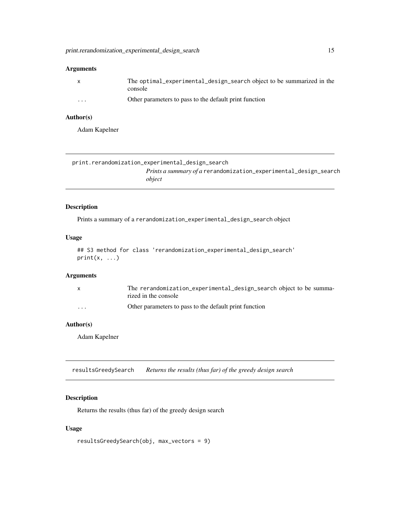<span id="page-14-0"></span>

|          | The optimal_experimental_design_search object to be summarized in the<br>console |
|----------|----------------------------------------------------------------------------------|
| $\cdots$ | Other parameters to pass to the default print function                           |

# Author(s)

Adam Kapelner

| print.rerandomization_experimental_design_search                        |  |
|-------------------------------------------------------------------------|--|
| <i>Prints a summary of a rerandomization_experimental_design_search</i> |  |
| object                                                                  |  |

# Description

Prints a summary of a rerandomization\_experimental\_design\_search object

#### Usage

```
## S3 method for class 'rerandomization_experimental_design_search'
print(x, ...)
```
#### Arguments

|                         | The rerandomization_experimental_design_search object to be summa-<br>rized in the console |
|-------------------------|--------------------------------------------------------------------------------------------|
| $\cdot$ $\cdot$ $\cdot$ | Other parameters to pass to the default print function                                     |

# Author(s)

Adam Kapelner

resultsGreedySearch *Returns the results (thus far) of the greedy design search*

# Description

Returns the results (thus far) of the greedy design search

# Usage

resultsGreedySearch(obj, max\_vectors = 9)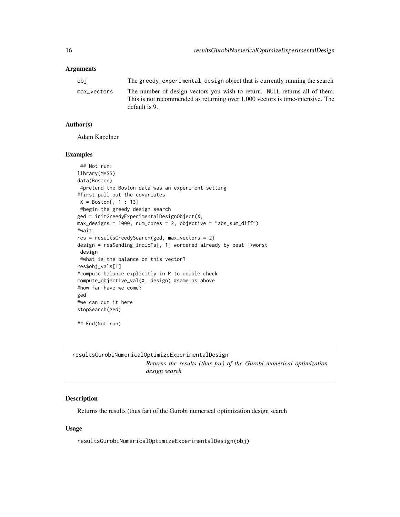<span id="page-15-0"></span>

| obi         | The greedy experimental design object that is currently running the search                                                                                   |
|-------------|--------------------------------------------------------------------------------------------------------------------------------------------------------------|
| max vectors | The number of design vectors you wish to return. NULL returns all of them.<br>This is not recommended as returning over 1,000 vectors is time-intensive. The |
|             | default is 9.                                                                                                                                                |

#### Author(s)

Adam Kapelner

#### Examples

```
## Not run:
library(MASS)
data(Boston)
 #pretend the Boston data was an experiment setting
#first pull out the covariates
X = Boston[, 1 : 13]#begin the greedy design search
ged = initGreedyExperimentalDesignObject(X,
max_designs = 1000, num_cores = 2, objective = "abs_sum_diff")
#wait
res = resultsGreedySearch(ged, max_vectors = 2)
design = res$ending_indicTs[, 1] #ordered already by best-->worst
design
 #what is the balance on this vector?
res$obj_vals[1]
#compute balance explicitly in R to double check
compute_objective_val(X, design) #same as above
#how far have we come?
ged
#we can cut it here
stopSearch(ged)
```
## End(Not run)

resultsGurobiNumericalOptimizeExperimentalDesign *Returns the results (thus far) of the Gurobi numerical optimization design search*

# Description

Returns the results (thus far) of the Gurobi numerical optimization design search

#### Usage

resultsGurobiNumericalOptimizeExperimentalDesign(obj)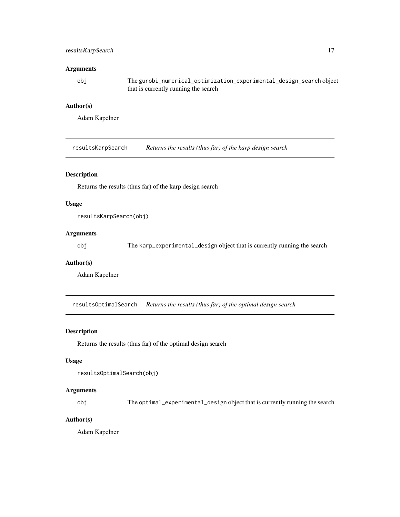# <span id="page-16-0"></span>resultsKarpSearch 17

### Arguments

obj The gurobi\_numerical\_optimization\_experimental\_design\_search object that is currently running the search

# Author(s)

Adam Kapelner

resultsKarpSearch *Returns the results (thus far) of the karp design search*

#### Description

Returns the results (thus far) of the karp design search

# Usage

resultsKarpSearch(obj)

# Arguments

obj The karp\_experimental\_design object that is currently running the search

#### Author(s)

Adam Kapelner

resultsOptimalSearch *Returns the results (thus far) of the optimal design search*

#### Description

Returns the results (thus far) of the optimal design search

#### Usage

```
resultsOptimalSearch(obj)
```
#### Arguments

obj The optimal\_experimental\_design object that is currently running the search

# Author(s)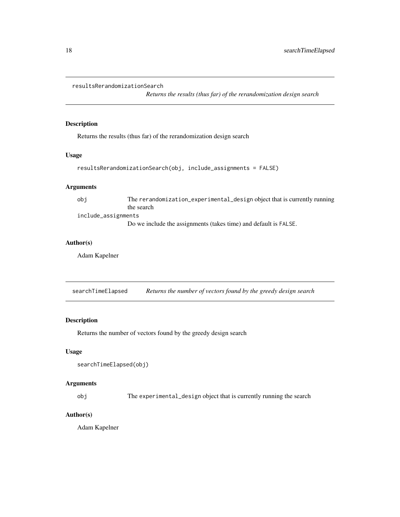```
resultsRerandomizationSearch
```
*Returns the results (thus far) of the rerandomization design search*

#### Description

Returns the results (thus far) of the rerandomization design search

#### Usage

```
resultsRerandomizationSearch(obj, include_assignments = FALSE)
```
# Arguments

obj The rerandomization\_experimental\_design object that is currently running the search include\_assignments

Do we include the assignments (takes time) and default is FALSE.

#### Author(s)

Adam Kapelner

searchTimeElapsed *Returns the number of vectors found by the greedy design search*

### Description

Returns the number of vectors found by the greedy design search

# Usage

```
searchTimeElapsed(obj)
```
#### Arguments

obj The experimental\_design object that is currently running the search

#### Author(s)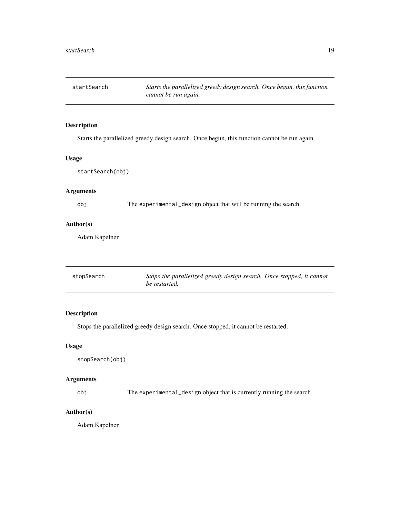<span id="page-18-0"></span>startSearch *Starts the parallelized greedy design search. Once begun, this function cannot be run again.*

# Description

Starts the parallelized greedy design search. Once begun, this function cannot be run again.

# Usage

startSearch(obj)

# Arguments

obj The experimental\_design object that will be running the search

## Author(s)

Adam Kapelner

<span id="page-18-1"></span>

| stopSearch | Stops the parallelized greedy design search. Once stopped, it cannot |
|------------|----------------------------------------------------------------------|
|            | be restarted.                                                        |

# Description

Stops the parallelized greedy design search. Once stopped, it cannot be restarted.

#### Usage

stopSearch(obj)

# Arguments

obj The experimental\_design object that is currently running the search

# Author(s)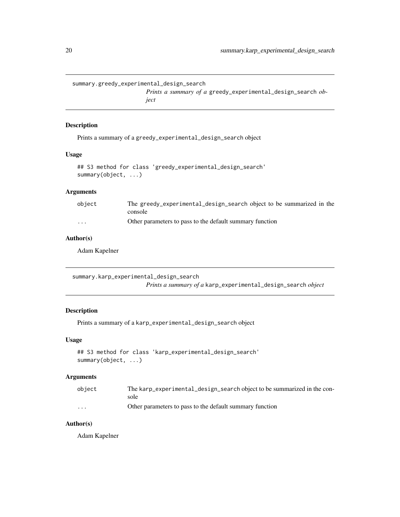```
summary.greedy_experimental_design_search
```
*Prints a summary of a* greedy\_experimental\_design\_search *object*

# Description

Prints a summary of a greedy\_experimental\_design\_search object

#### Usage

```
## S3 method for class 'greedy_experimental_design_search'
summary(object, ...)
```
# Arguments

| object                  | The greedy_experimental_design_search object to be summarized in the<br>console |
|-------------------------|---------------------------------------------------------------------------------|
| $\cdot$ $\cdot$ $\cdot$ | Other parameters to pass to the default summary function                        |

# Author(s)

Adam Kapelner

summary.karp\_experimental\_design\_search *Prints a summary of a* karp\_experimental\_design\_search *object*

# Description

Prints a summary of a karp\_experimental\_design\_search object

#### Usage

```
## S3 method for class 'karp_experimental_design_search'
summary(object, ...)
```
# Arguments

| object                  | The karp_experimental_design_search object to be summarized in the con- |
|-------------------------|-------------------------------------------------------------------------|
|                         | sole                                                                    |
| $\cdot$ $\cdot$ $\cdot$ | Other parameters to pass to the default summary function                |

# Author(s)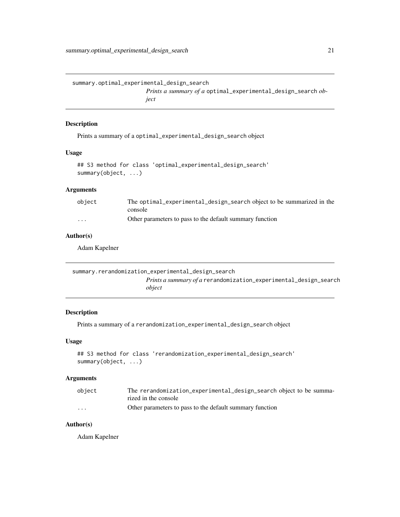<span id="page-20-0"></span>summary.optimal\_experimental\_design\_search

*Prints a summary of a* optimal\_experimental\_design\_search *object*

#### Description

Prints a summary of a optimal\_experimental\_design\_search object

#### Usage

```
## S3 method for class 'optimal_experimental_design_search'
summary(object, ...)
```
# Arguments

| object   | The optimal_experimental_design_search object to be summarized in the |
|----------|-----------------------------------------------------------------------|
|          | console                                                               |
| $\cdots$ | Other parameters to pass to the default summary function              |

#### Author(s)

Adam Kapelner

```
summary.rerandomization_experimental_design_search
                       Prints a summary of a rerandomization_experimental_design_search
                       object
```
#### Description

Prints a summary of a rerandomization\_experimental\_design\_search object

#### Usage

```
## S3 method for class 'rerandomization_experimental_design_search'
summary(object, ...)
```
# Arguments

| object                  | The rerandomization_experimental_design_search object to be summa- |
|-------------------------|--------------------------------------------------------------------|
|                         | rized in the console                                               |
| $\cdot$ $\cdot$ $\cdot$ | Other parameters to pass to the default summary function           |

# Author(s)